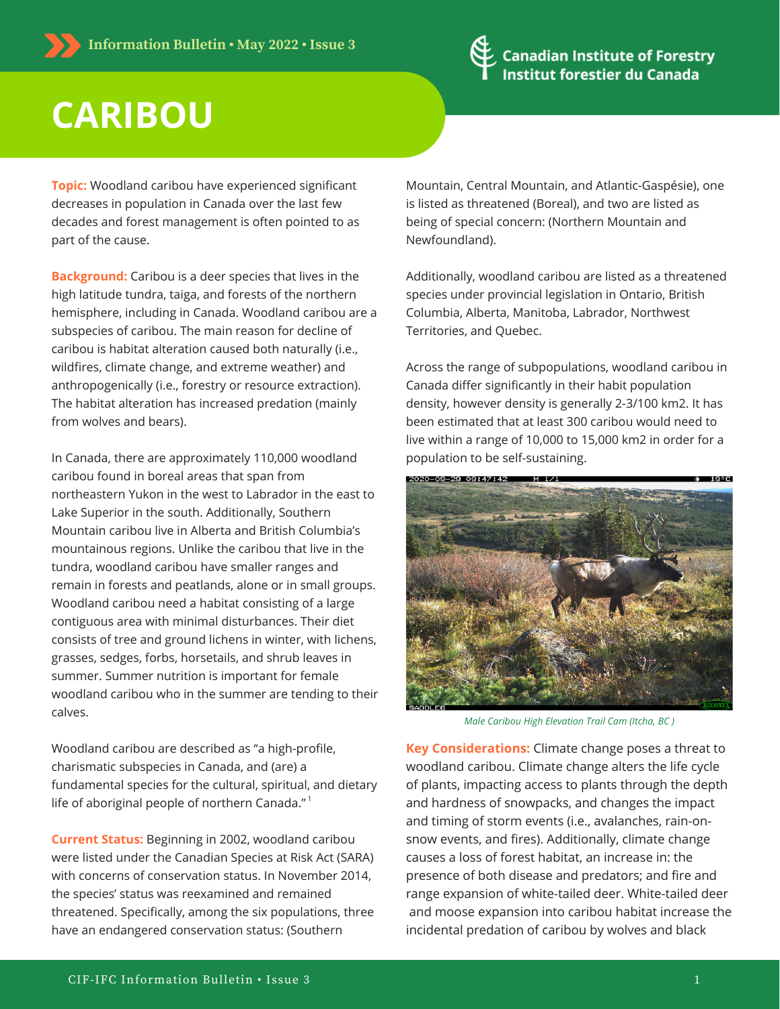

## **CARIBOU**

**Topic:** Woodland caribou have experienced significant decreases in population in Canada over the last few decades and forest management is often pointed to as part of the cause.

**Background:** Caribou is a deer species that lives in the high latitude tundra, taiga, and forests of the northern hemisphere, including in Canada. Woodland caribou are a subspecies of caribou. The main reason for decline of caribou is habitat alteration caused both naturally (i.e., wildfires, climate change, and extreme weather) and anthropogenically (i.e., forestry or resource extraction). The habitat alteration has increased predation (mainly from wolves and bears).

In Canada, there are approximately 110,000 woodland caribou found in boreal areas that span from northeastern Yukon in the west to Labrador in the east to Lake Superior in the south. Additionally, Southern Mountain caribou live in Alberta and British Columbia's mountainous regions. Unlike the caribou that live in the tundra, woodland caribou have smaller ranges and remain in forests and peatlands, alone or in small groups. Woodland caribou need a habitat consisting of a large contiguous area with minimal disturbances. Their diet consists of tree and ground lichens in winter, with lichens, grasses, sedges, forbs, horsetails, and shrub leaves in summer. Summer nutrition is important for female woodland caribou who in the summer are tending to their calves.

Woodland caribou are described as "a high-profile, charismatic subspecies in Canada, and (are) a [fundamental](https://www.ncasi.org/wp-content/uploads/2020/06/TB1066-Sept2020.pdf) species for the cultural, spiritual, and dietary life of aboriginal people of northern Canada."<sup>1</sup>

**Current Status:** Beginning in 2002, woodland caribou were listed under the Canadian Species at Risk Act (SARA) with concerns of conservation status. In November 2014, the species' status was reexamined and remained threatened. Specifically, among the six populations, three have an endangered conservation status: (Southern

Mountain, Central Mountain, and Atlantic-Gaspésie), one is listed as threatened (Boreal), and two are listed as being of special concern: (Northern Mountain and Newfoundland).

Additionally, woodland caribou are listed as a threatened species under provincial legislation in Ontario, British Columbia, Alberta, Manitoba, Labrador, Northwest Territories, and Quebec.

Across the range of subpopulations, woodland caribou in Canada differ significantly in their habit population density, however density is generally 2-3/100 km2. It has been estimated that at least 300 caribou would need to live within a range of 10,000 to 15,000 km2 in order for a population to be self-sustaining.



*Male Caribou High Elevation Trail Cam (Itcha, BC )*

**Key Considerations:** Climate change poses a threat to woodland caribou. Climate change alters the life cycle of plants, impacting access to plants through the depth and hardness of snowpacks, and changes the impact and timing of storm events (i.e., avalanches, rain-onsnow events, and fires). Additionally, climate change causes a loss of forest habitat, an increase in: the presence of both disease and predators; and fire and range expansion of white-tailed deer. White-tailed deer and moose expansion into caribou habitat increase the incidental predation of caribou by wolves and black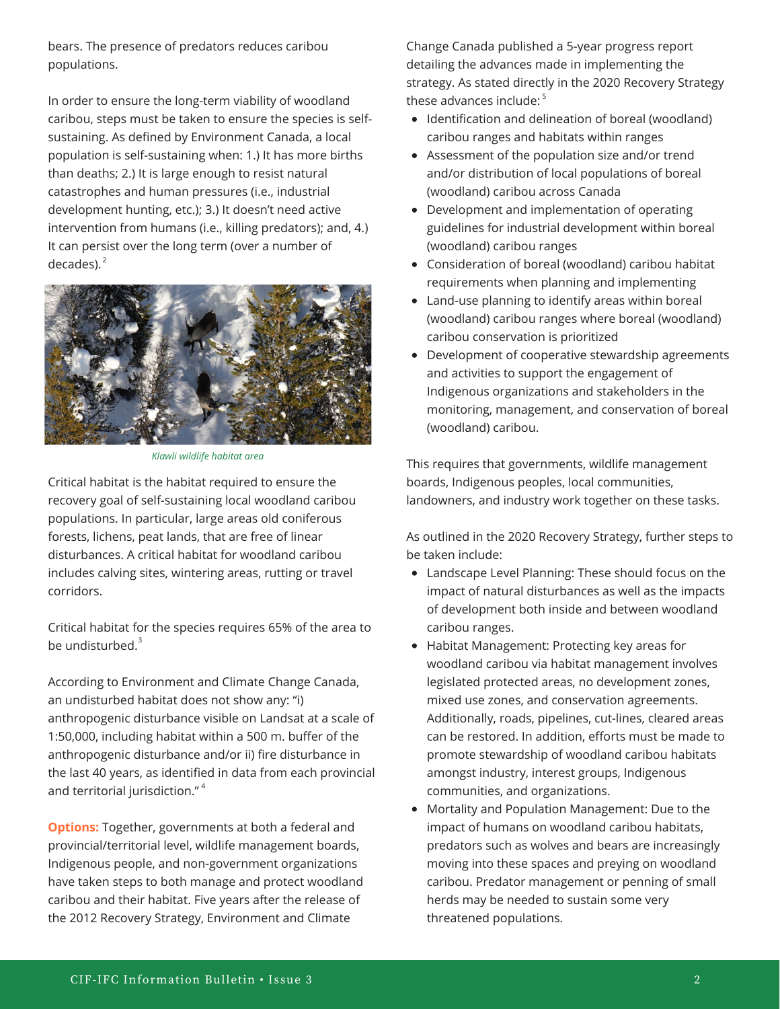bears. The presence of predators reduces caribou populations.

In order to ensure the long-term viability of woodland caribou, steps must be taken to ensure the species is selfsustaining. As defined by [Environment](https://publications.gc.ca/collections/collection_2013/ec/En3-4-149-2012-eng.pdf) Canada, a local population is self-sustaining when: 1.) It has more births than deaths; 2.) It is large enough to resist natural catastrophes and human pressures (i.e., industrial development hunting, etc.); 3.) It doesn't need active intervention from humans (i.e., killing predators); and, 4.) It can persist over the long term (over a number of decades). 2



*Klawli wildlife habitat area*

Critical habitat is the habitat required to ensure the recovery goal of self-sustaining local woodland caribou populations. In particular, large areas old coniferous forests, lichens, peat lands, that are free of linear disturbances. A critical habitat for woodland caribou includes calving sites, wintering areas, rutting or travel corridors.

Critical habitat for the species requires 65% of the area to be undisturbed. 3

According to Environment and Climate Change Canada, an undisturbed habitat does not show any: "i) anthropogenic disturbance visible on Landsat at a scale of 1:50,000, including habitat within a 500 m. buffer of the anthropogenic disturbance and/or ii) fire disturbance in the last 40 years, as identified in data from each provincial and territorial jurisdiction."<sup>4</sup>

**Options:** Together, governments at both a federal and provincial/territorial level, wildlife management boards, Indigenous people, and non-government organizations have taken steps to both manage and protect woodland caribou and their habitat. Five years after the release of the 2012 Recovery Strategy, Environment and Climate

Change Canada published a 5-year progress report detailing the advances made in implementing the strategy. As stated directly in the 2020 Recovery Strategy these advances include: 5

- Identification and delineation of boreal (woodland) caribou ranges and habitats within ranges
- Assessment of the population size and/or trend and/or distribution of local populations of boreal (woodland) caribou across Canada
- Development and implementation of operating guidelines for industrial development within boreal (woodland) caribou ranges
- Consideration of boreal (woodland) caribou habitat requirements when planning and implementing
- Land-use planning to identify areas within boreal (woodland) caribou ranges where boreal (woodland) caribou conservation is prioritized
- Development of cooperative stewardship agreements and activities to support the engagement of Indigenous organizations and stakeholders in the monitoring, management, and conservation of boreal (woodland) caribou.

This requires that governments, wildlife management boards, Indigenous peoples, local communities, landowners, and industry work together on these tasks.

As outlined in the 2020 Recovery Strategy, further steps to be taken include:

- Landscape Level Planning: These should focus on the impact of natural disturbances as well as the impacts of development both inside and between woodland caribou ranges.
- Habitat Management: Protecting key areas for woodland caribou via habitat management involves legislated protected areas, no development zones, mixed use zones, and conservation agreements. Additionally, roads, pipelines, cut-lines, cleared areas can be restored. In addition, efforts must be made to promote stewardship of woodland caribou habitats amongst industry, interest groups, Indigenous communities, and organizations.
- Mortality and Population Management: Due to the impact of humans on woodland caribou habitats, predators such as wolves and bears are increasingly moving into these spaces and preying on woodland caribou. Predator management or penning of small herds may be needed to sustain some very threatened populations.